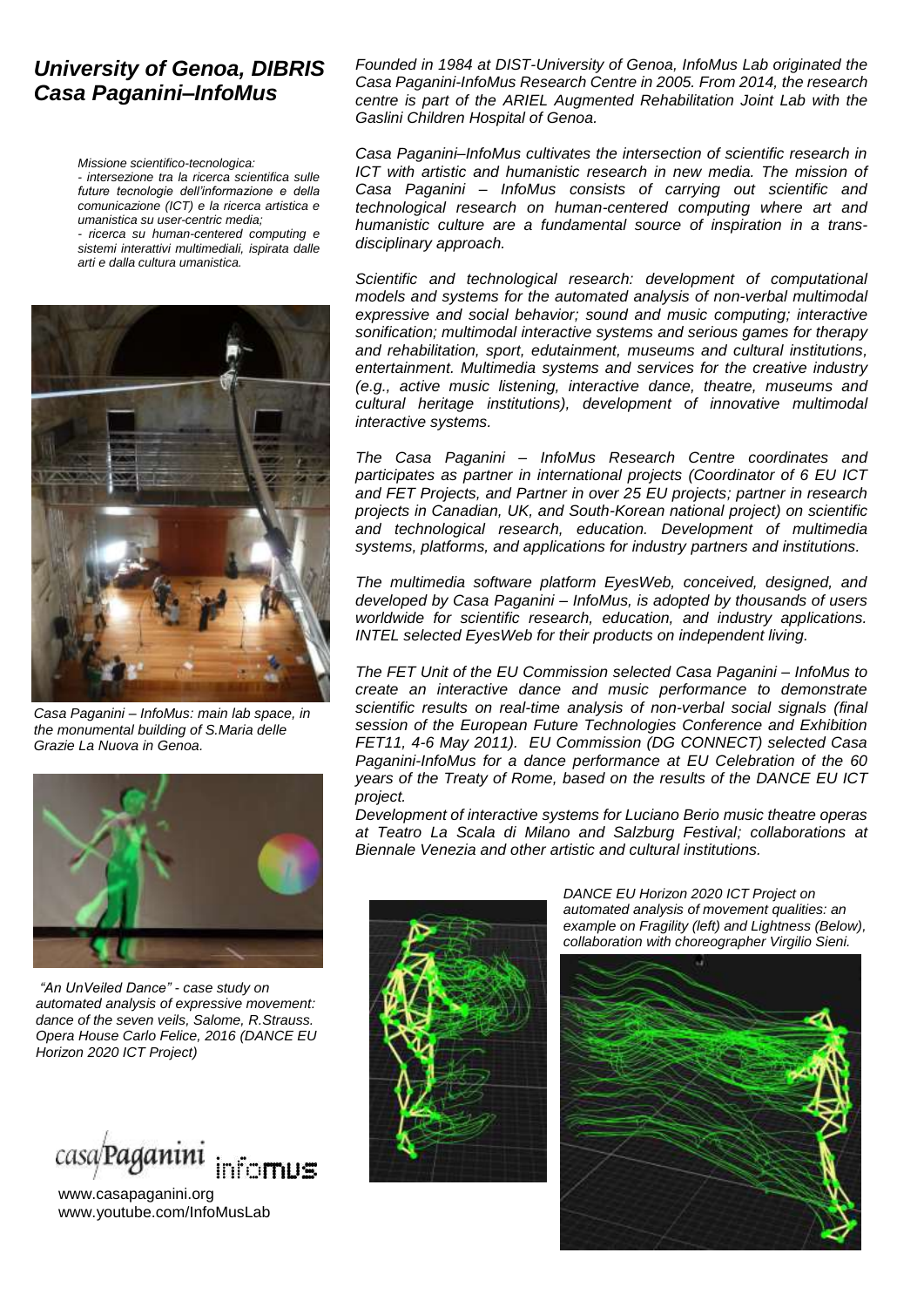#### *University of Genoa, DIBRIS Casa Paganini–InfoMus*

*Missione scientifico-tecnologica: - intersezione tra la ricerca scientifica sulle future tecnologie dell'informazione e della comunicazione (ICT) e la ricerca artistica e umanistica su user-centric media; - ricerca su human-centered computing e sistemi interattivi multimediali, ispirata dalle arti e dalla cultura umanistica.*



*Casa Paganini – InfoMus: main lab space, in the monumental building of S.Maria delle Grazie La Nuova in Genoa.*



*"An UnVeiled Dance" - case study on automated analysis of expressive movement: dance of the seven veils, Salome, R.Strauss. Opera House Carlo Felice, 2016 (DANCE EU Horizon 2020 ICT Project)*



www.casapaganini.org www.youtube.com/InfoMusLab

*Founded in 1984 at DIST-University of Genoa, InfoMus Lab originated the Casa Paganini-InfoMus Research Centre in 2005. From 2014, the research centre is part of the ARIEL Augmented Rehabilitation Joint Lab with the Gaslini Children Hospital of Genoa.*

*Casa Paganini–InfoMus cultivates the intersection of scientific research in ICT with artistic and humanistic research in new media. The mission of Casa Paganini – InfoMus consists of carrying out scientific and technological research on human-centered computing where art and humanistic culture are a fundamental source of inspiration in a transdisciplinary approach.*

*Scientific and technological research: development of computational models and systems for the automated analysis of non-verbal multimodal expressive and social behavior; sound and music computing; interactive sonification; multimodal interactive systems and serious games for therapy and rehabilitation, sport, edutainment, museums and cultural institutions, entertainment. Multimedia systems and services for the creative industry (e.g., active music listening, interactive dance, theatre, museums and cultural heritage institutions), development of innovative multimodal interactive systems.*

*The Casa Paganini – InfoMus Research Centre coordinates and participates as partner in international projects (Coordinator of 6 EU ICT and FET Projects, and Partner in over 25 EU projects; partner in research projects in Canadian, UK, and South-Korean national project) on scientific and technological research, education. Development of multimedia systems, platforms, and applications for industry partners and institutions.*

*The multimedia software platform EyesWeb, conceived, designed, and developed by Casa Paganini – InfoMus, is adopted by thousands of users worldwide for scientific research, education, and industry applications. INTEL selected EyesWeb for their products on independent living.* 

*The FET Unit of the EU Commission selected Casa Paganini – InfoMus to create an interactive dance and music performance to demonstrate scientific results on real-time analysis of non-verbal social signals (final session of the European Future Technologies Conference and Exhibition FET11, 4-6 May 2011). EU Commission (DG CONNECT) selected Casa Paganini-InfoMus for a dance performance at EU Celebration of the 60 years of the Treaty of Rome, based on the results of the DANCE EU ICT project.*

*Development of interactive systems for Luciano Berio music theatre operas at Teatro La Scala di Milano and Salzburg Festival; collaborations at Biennale Venezia and other artistic and cultural institutions.* 



*DANCE EU Horizon 2020 ICT Project on automated analysis of movement qualities: an example on Fragility (left) and Lightness (Below), collaboration with choreographer Virgilio Sieni.*

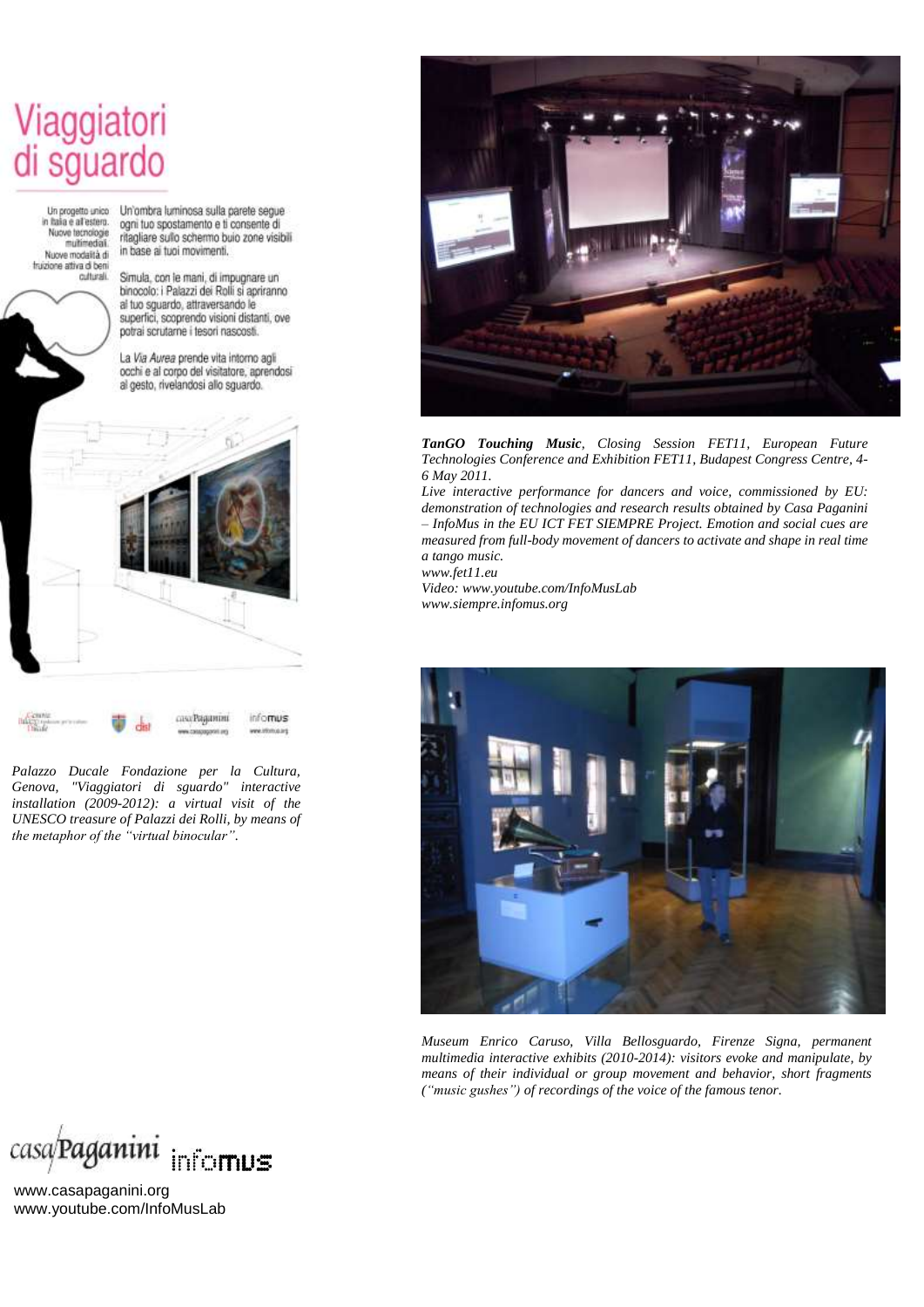## Viaggiatori<br>di sguardo

Un progetto unico in haia e al'estero. Nuove tecnologie multimedial Nuova modalità di truizione attiva di ben culturali.

Un'ombra luminosa sulla parete segue ogni tuo spostamento e ti consente di ritagliare sullo schermo buio zone visibili in base ai tuoi movimenti.

Simula, con le mani, di impugnare un binocolo: i Palazzi dei Rolli si apriranno al tuo squardo, attraversando le superfici, scoprendo visioni distanti, ove potrai scrutarne i tesori nascosti.

La Via Aurea prende vita intorno agli occhi e al corpo del visitatore, aprendosi al gesto, rivelandosi allo squardo.



*Palazzo Ducale Fondazione per la Cultura, Genova, ["Viaggiatori di sguardo"](http://www.casapaganini.org/home/) interactive installation (2009-2012): a virtual visit of the UNESCO treasure of Palazzi dei Rolli, by means of the metaphor of the "virtual binocular".* 



*TanGO Touching Music, Closing Session FET11, European Future Technologies Conference and Exhibition FET11, Budapest Congress Centre, 4- 6 May 2011.*

*Live interactive performance for dancers and voice, commissioned by EU: demonstration of technologies and research results obtained by Casa Paganini – InfoMus in the EU ICT FET SIEMPRE Project. Emotion and social cues are measured from full-body movement of dancers to activate and shape in real time a tango music.* 

*www.fet11.eu*

*Video: www.youtube.com/InfoMusLab www.siempre.infomus.org*



*Museum Enrico Caruso, Villa Bellosguardo, Firenze Signa, permanent multimedia interactive exhibits (2010-2014): visitors evoke and manipulate, by means of their individual or group movement and behavior, short fragments ("music gushes") of recordings of the voice of the famous tenor.*



www.casapaganini.org www.youtube.com/InfoMusLab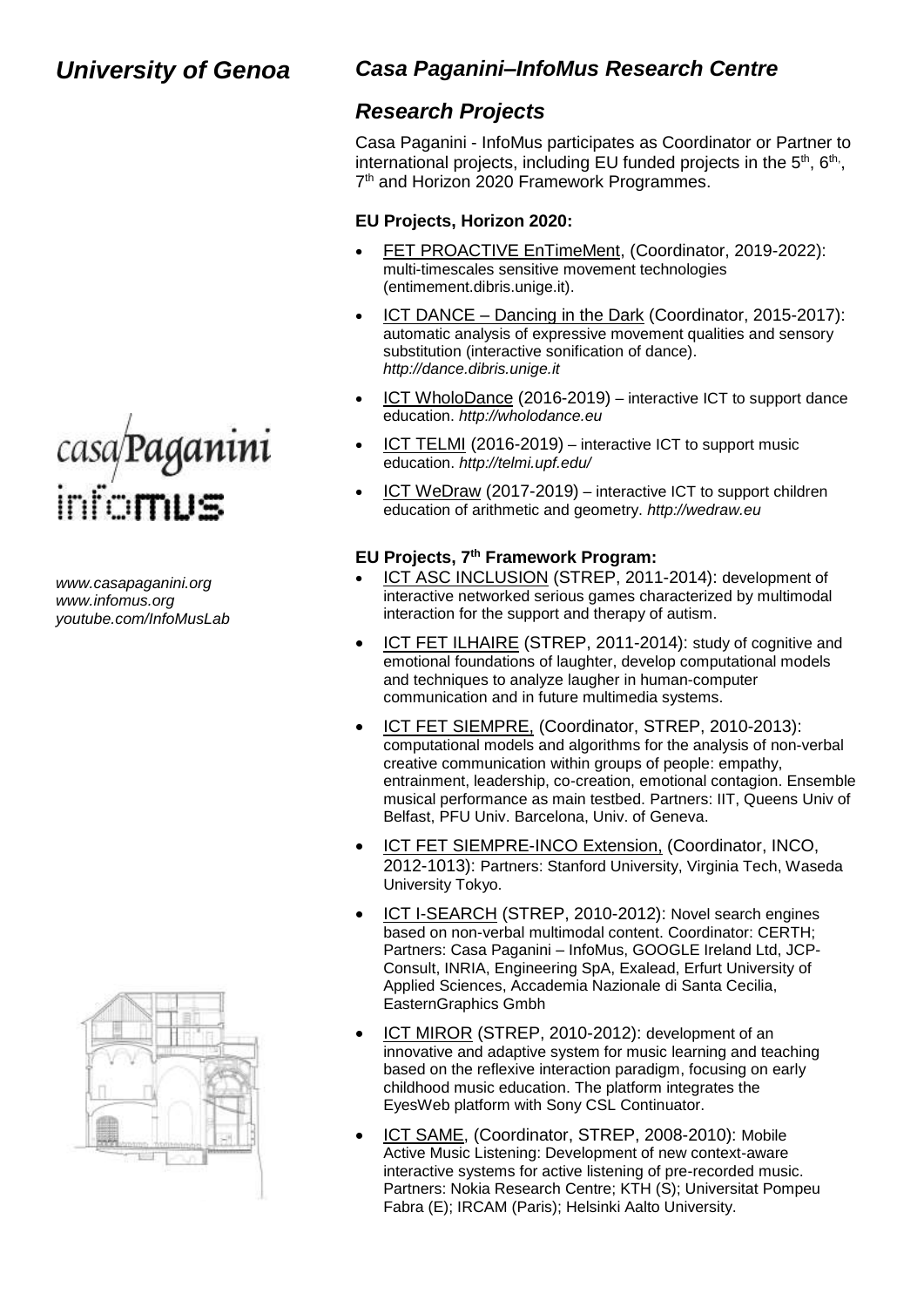

*www.casapaganini.org www.infomus.org youtube.com/InfoMusLab*



#### *Casa Paganini–InfoMus Research Centre*

#### *Research Projects*

Casa Paganini - InfoMus participates as Coordinator or Partner to international projects, including EU funded projects in the  $5<sup>th</sup>$ ,  $6<sup>th</sup>$ , 7<sup>th</sup> and Horizon 2020 Framework Programmes.

#### **EU Projects, Horizon 2020:**

- FET PROACTIVE EnTimeMent, (Coordinator, 2019-2022): multi-timescales sensitive movement technologies (entimement.dibris.unige.it).
- ICT DANCE Dancing in the Dark (Coordinator, 2015-2017): automatic analysis of expressive movement qualities and sensory substitution (interactive sonification of dance). *http://dance.dibris.unige.it*
- ICT WholoDance (2016-2019) interactive ICT to support dance education. *http://wholodance.eu*
- ICT TELMI (2016-2019) interactive ICT to support music education. *http://telmi.upf.edu/*
- ICT WeDraw (2017-2019) interactive ICT to support children education of arithmetic and geometry. *http://wedraw.eu*

#### **EU Projects, 7 th Framework Program:**

- ICT ASC INCLUSION (STREP, 2011-2014): development of interactive networked serious games characterized by multimodal interaction for the support and therapy of autism.
- ICT FET ILHAIRE (STREP, 2011-2014): study of cognitive and emotional foundations of laughter, develop computational models and techniques to analyze laugher in human-computer communication and in future multimedia systems.
- ICT FET SIEMPRE, (Coordinator, STREP, 2010-2013): computational models and algorithms for the analysis of non-verbal creative communication within groups of people: empathy, entrainment, leadership, co-creation, emotional contagion. Ensemble musical performance as main testbed. Partners: IIT, Queens Univ of Belfast, PFU Univ. Barcelona, Univ. of Geneva.
- ICT FET SIEMPRE-INCO Extension, (Coordinator, INCO, 2012-1013): Partners: Stanford University, Virginia Tech, Waseda University Tokyo.
- [ICT I-SEARCH](http://www.sameproject.eu/) (STREP, 2010-2012): Novel search engines based on non-verbal multimodal content. Coordinator: CERTH; Partners: Casa Paganini – InfoMus, GOOGLE Ireland Ltd, JCP-Consult, INRIA, Engineering SpA, Exalead, Erfurt University of Applied Sciences, Accademia Nazionale di Santa Cecilia, EasternGraphics Gmbh
- ICT MIROR (STREP, 2010-2012): development of an innovative and adaptive system for music learning and teaching based on the reflexive interaction paradigm, focusing on early childhood music education. The platform integrates the EyesWeb platform with Sony CSL Continuator.
- [ICT SAME,](http://www.sameproject.eu/) (Coordinator, STREP, 2008-2010): Mobile Active Music Listening: Development of new context-aware interactive systems for active listening of pre-recorded music. Partners: Nokia Research Centre; KTH (S); Universitat Pompeu Fabra (E); IRCAM (Paris); Helsinki Aalto University.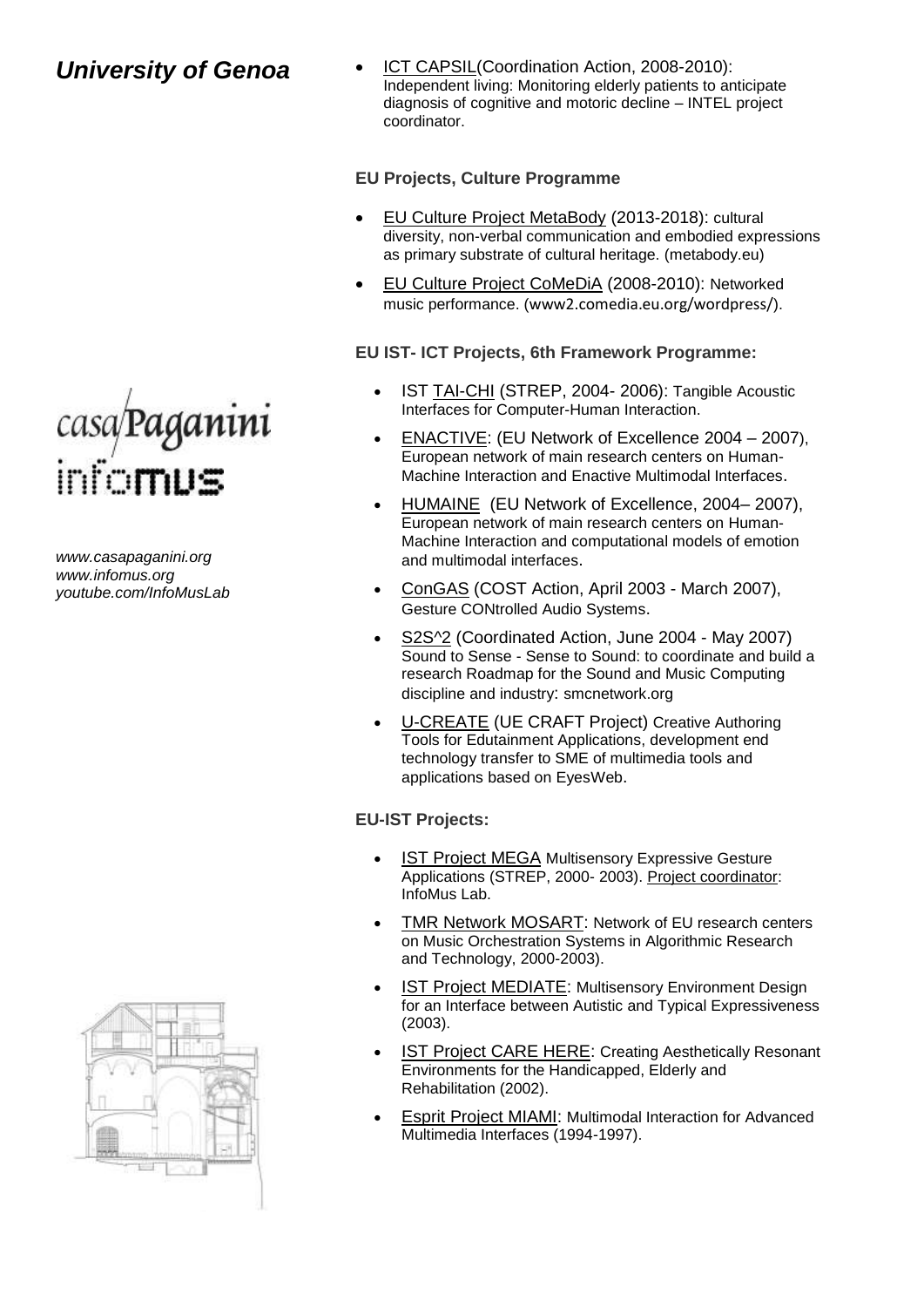

*www.casapaganini.org www.infomus.org youtube.com/InfoMusLab*



 [ICT CAPSIL\(](http://www.infomus.org/)Coordination Action, 2008-2010): Independent living: Monitoring elderly patients to anticipate diagnosis of cognitive and motoric decline – INTEL project coordinator.

#### **EU Projects, Culture Programme**

- EU Culture Project MetaBody (2013-2018): cultural diversity, non-verbal communication and embodied expressions as primary substrate of cultural heritage. (metabody.eu)
- EU Culture Project [CoMeDiA](http://www.infomus.org/) (2008-2010): Networked music performance. (www2.comedia.eu.org/wordpress/).

#### **EU IST- ICT Projects, 6th Framework Programme:**

- IST [TAI-CHI](http://www.taichi.cf.ac.uk/) (STREP, 2004- 2006): Tangible Acoustic Interfaces for Computer-Human Interaction.
- [ENACTIVE:](http://www.enactivenetwork.org/) (EU Network of Excellence 2004 2007), European network of main research centers on Human-Machine Interaction and Enactive Multimodal Interfaces.
- [HUMAINE](http://www.emotion-research.net/) (EU Network of Excellence, 2004– 2007), European network of main research centers on Human-Machine Interaction and computational models of emotion and multimodal interfaces.
- [ConGAS](http://www.cost287.org/) (COST Action, April 2003 March 2007), Gesture CONtrolled Audio Systems.
- [S2S^2](http://www.s2s2.org/) (Coordinated Action, June 2004 May 2007) Sound to Sense - Sense to Sound: to coordinate and build a research Roadmap for the Sound and Music Computing discipline and industry: smcnetwork.org
- [U-CREATE](http://www.alterface.com/ucreate/) (UE CRAFT Project) Creative Authoring Tools for Edutainment Applications, development end technology transfer to SME of multimedia tools and applications based on EyesWeb.

#### **EU-IST Projects:**

- [IST Project MEGA](http://www.megaproject.org/) Multisensory Expressive Gesture Applications (STREP, 2000- 2003). Project coordinator: InfoMus Lab.
- TMR Network MOSART: Network of EU research centers on Music Orchestration Systems in Algorithmic Research and Technology, 2000-2003).
- IST Project MEDIATE: Multisensory Environment Design for an Interface between Autistic and Typical Expressiveness (2003).
- **IST Project CARE HERE: Creating Aesthetically Resonant** Environments for the Handicapped, Elderly and Rehabilitation (2002).
- Esprit Project MIAMI: Multimodal Interaction for Advanced Multimedia Interfaces (1994-1997).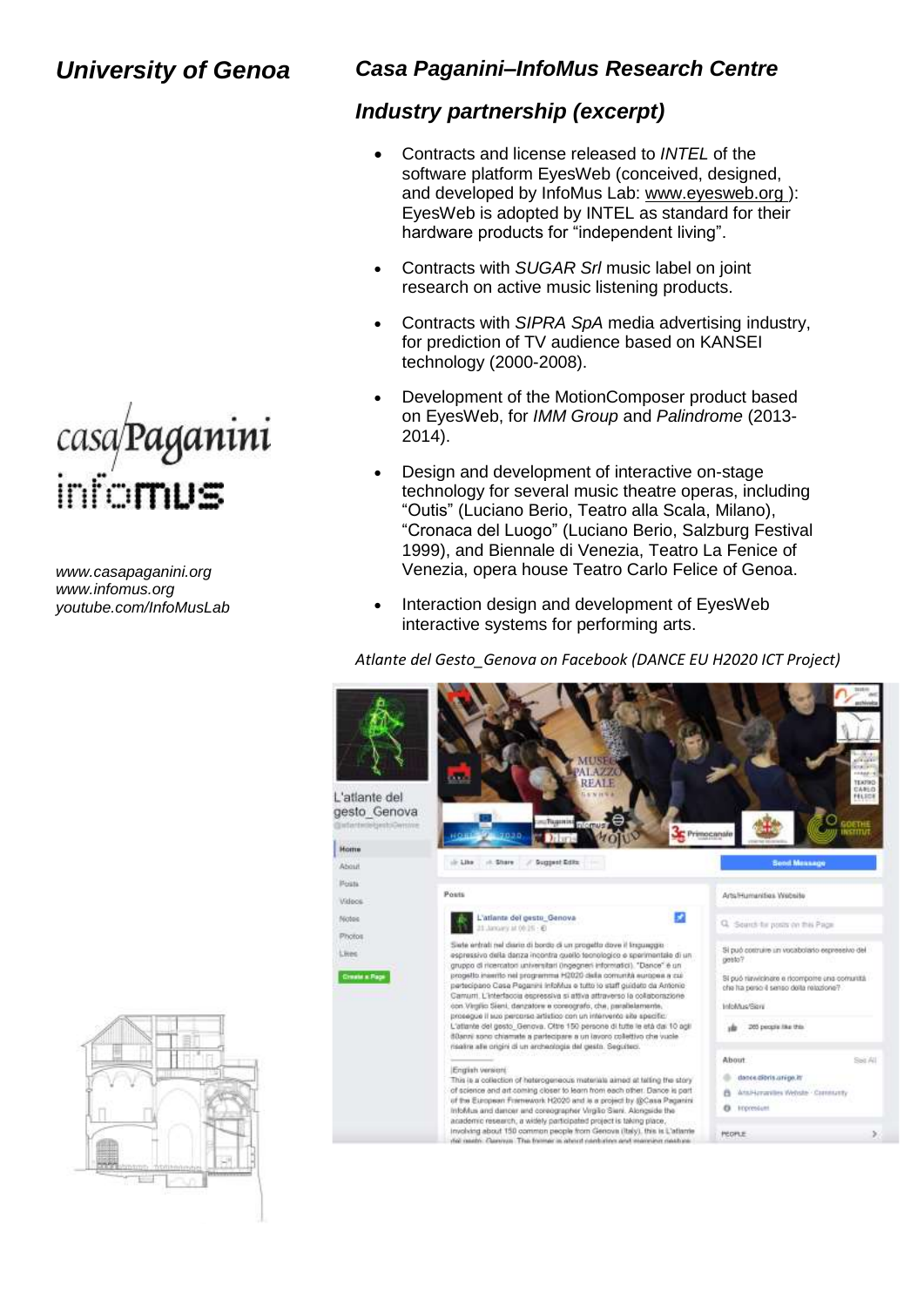

*www.casapaganini.org www.infomus.org youtube.com/InfoMusLab*

#### *Casa Paganini–InfoMus Research Centre*

#### *Industry partnership (excerpt)*

- Contracts and license released to *INTEL* of the software platform EyesWeb (conceived, designed, and developed by InfoMus Lab: [www.eyesweb.org \)](http://www.eyesweb.org/): EyesWeb is adopted by INTEL as standard for their hardware products for "independent living".
- Contracts with *SUGAR Srl* music label on joint research on active music listening products.
- Contracts with *SIPRA SpA* media advertising industry, for prediction of TV audience based on KANSEI technology (2000-2008).
- Development of the MotionComposer product based on EyesWeb, for *IMM Group* and *Palindrome* (2013- 2014).
- Design and development of interactive on-stage technology for several music theatre operas, including "Outis" (Luciano Berio, Teatro alla Scala, Milano), "Cronaca del Luogo" (Luciano Berio, Salzburg Festival 1999), and Biennale di Venezia, Teatro La Fenice of Venezia, opera house Teatro Carlo Felice of Genoa.
- Interaction design and development of EyesWeb interactive systems for performing arts.

*Atlante del Gesto\_Genova on Facebook (DANCE EU H2020 ICT Project)*



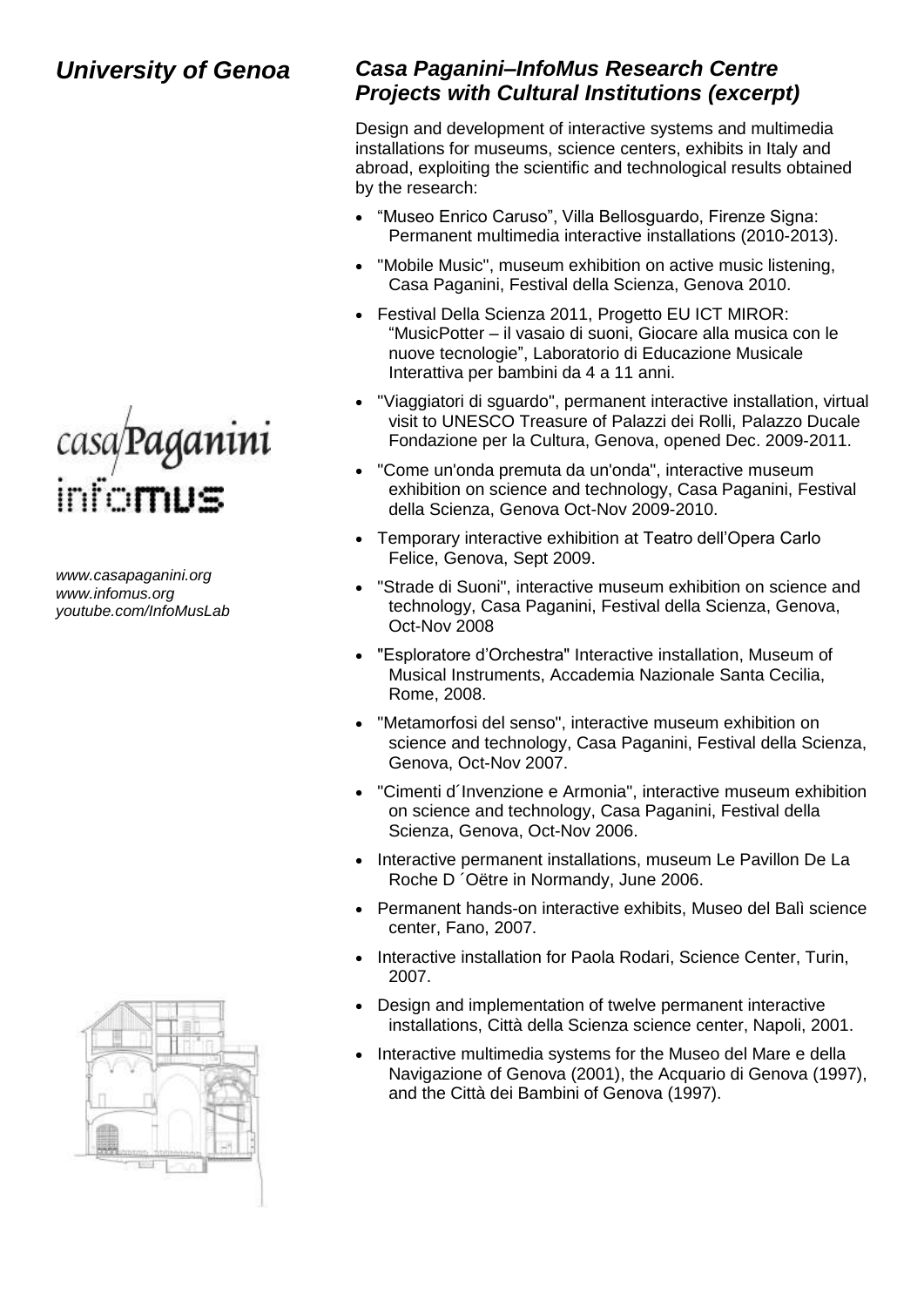

*www.casapaganini.org www.infomus.org youtube.com/InfoMusLab*



## *Casa Paganini–InfoMus Research Centre Projects with Cultural Institutions (excerpt)*

Design and development of interactive systems and multimedia installations for museums, science centers, exhibits in Italy and abroad, exploiting the scientific and technological results obtained by the research:

- "Museo Enrico Caruso", Villa Bellosguardo, Firenze Signa: Permanent multimedia interactive installations (2010-2013).
- "Mobile Music", museum exhibition on active music listening, Casa Paganini, Festival della Scienza, Genova 2010.
- Festival Della Scienza 2011, Progetto EU ICT MIROR: "MusicPotter – il vasaio di suoni, Giocare alla musica con le nuove tecnologie", Laboratorio di Educazione Musicale Interattiva per bambini da 4 a 11 anni.
- ["Viaggiatori di sguardo"](http://www.casapaganini.org/home/), permanent interactive installation, virtual visit to UNESCO Treasure of Palazzi dei Rolli, Palazzo Ducale Fondazione per la Cultura, Genova, opened Dec. 2009-2011.
- "Come un'onda premuta da un'onda", interactive museum exhibition on science and technology, Casa Paganini, Festival della Scienza, Genova Oct-Nov 2009-2010.
- Temporary interactive exhibition at Teatro dell'Opera Carlo Felice, Genova, Sept 2009.
- "Strade di Suoni", interactive museum exhibition on science and technology, Casa Paganini, Festival della Scienza, Genova, Oct-Nov 2008
- "Esploratore d'Orchestra" Interactive installation, Museum of Musical Instruments, Accademia Nazionale Santa Cecilia, Rome, 2008.
- "Metamorfosi del senso", interactive museum exhibition on science and technology, Casa Paganini, Festival della Scienza, Genova, Oct-Nov 2007.
- "Cimenti d´Invenzione e Armonia", interactive museum exhibition on science and technology, Casa Paganini, Festival della Scienza, Genova, Oct-Nov 2006.
- Interactive permanent installations, museum Le Pavillon De La Roche D ´Oëtre in Normandy, June 2006.
- Permanent hands-on interactive exhibits, Museo del Balì science center, Fano, 2007.
- Interactive installation for Paola Rodari, Science Center, Turin, 2007.
- Design and implementation of twelve permanent interactive installations, Città della Scienza science center, Napoli, 2001.
- Interactive multimedia systems for the Museo del Mare e della Navigazione of Genova (2001), the Acquario di Genova (1997), and the Città dei Bambini of Genova (1997).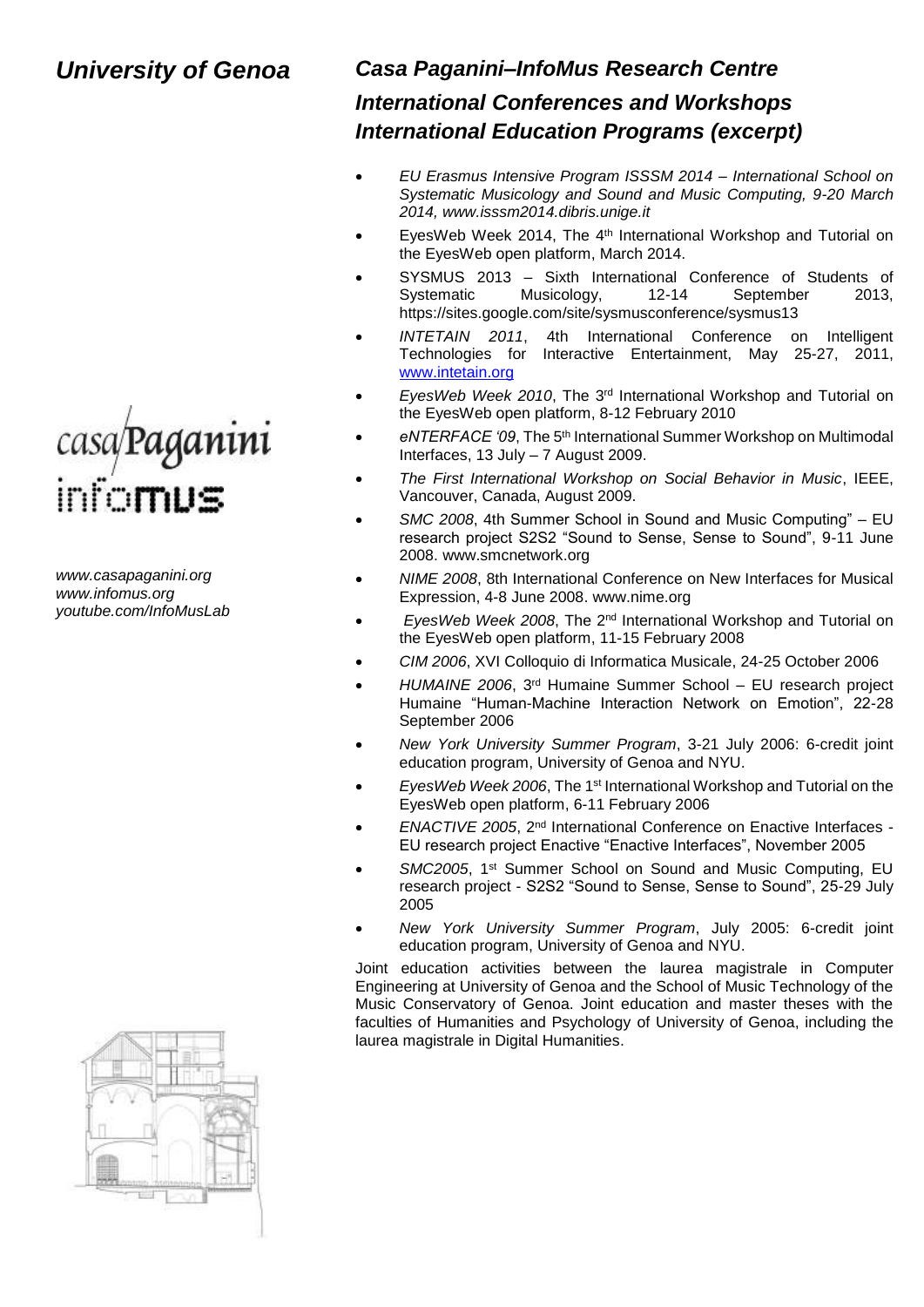# casa/Paganini<br>info**mus**

*www.casapaganini.org www.infomus.org youtube.com/InfoMusLab*

### *Casa Paganini–InfoMus Research Centre*

## *International Conferences and Workshops International Education Programs (excerpt)*

- *EU Erasmus Intensive Program ISSSM 2014 – International School on Systematic Musicology and Sound and Music Computing, 9-20 March 2014, www.isssm2014.dibris.unige.it*
- EvesWeb Week 2014. The 4<sup>th</sup> International Workshop and Tutorial on the EyesWeb open platform, March 2014.
- SYSMUS 2013 Sixth International Conference of Students of Systematic Musicology, 12-14 September 2013, https://sites.google.com/site/sysmusconference/sysmus13
- *INTETAIN 2011*, 4th International Conference on Intelligent Technologies for Interactive Entertainment, May 25-27, 2011, [www.intetain.org](http://www.intetain.org/)
- *EyesWeb Week 2010*, The 3rd International Workshop and Tutorial on the EyesWeb open platform, 8-12 February 2010
- *eNTERFACE '09*, The 5th International Summer Workshop on Multimodal Interfaces, 13 July – 7 August 2009.
- *[The First International Workshop on Social Behavior in Music](http://www.infomus.org/SBM2009/)*, IEEE, Vancouver, Canada, August 2009.
- *SMC 2008*, 4th Summer School in Sound and Music Computing" EU research project S2S2 "Sound to Sense, Sense to Sound", 9-11 June 2008. www.smcnetwork.org
- *NIME 2008*, 8th International Conference on New Interfaces for Musical Expression, 4-8 June 2008. www.nime.org
- *EyesWeb Week 2008*, The 2nd International Workshop and Tutorial on the EyesWeb open platform, 11-15 February 2008
- *CIM 2006*, XVI Colloquio di Informatica Musicale, 24-25 October 2006
- *HUMAINE 2006*, 3rd Humaine Summer School EU research project Humaine "Human-Machine Interaction Network on Emotion", 22-28 September 2006
- *New York University Summer Program*, 3-21 July 2006: 6-credit joint education program, University of Genoa and NYU.
- *EyesWeb Week 2006*, The 1st International Workshop and Tutorial on the EyesWeb open platform, 6-11 February 2006
- *ENACTIVE 2005*, 2nd International Conference on Enactive Interfaces EU research project Enactive "Enactive Interfaces", November 2005
- SMC2005, 1<sup>st</sup> Summer School on Sound and Music Computing, EU research project - S2S2 "Sound to Sense, Sense to Sound", 25-29 July 2005
- *New York University Summer Program*, July 2005: 6-credit joint education program, University of Genoa and NYU.

Joint education activities between the laurea magistrale in Computer Engineering at University of Genoa and the School of Music Technology of the Music Conservatory of Genoa. Joint education and master theses with the faculties of Humanities and Psychology of University of Genoa, including the laurea magistrale in Digital Humanities.

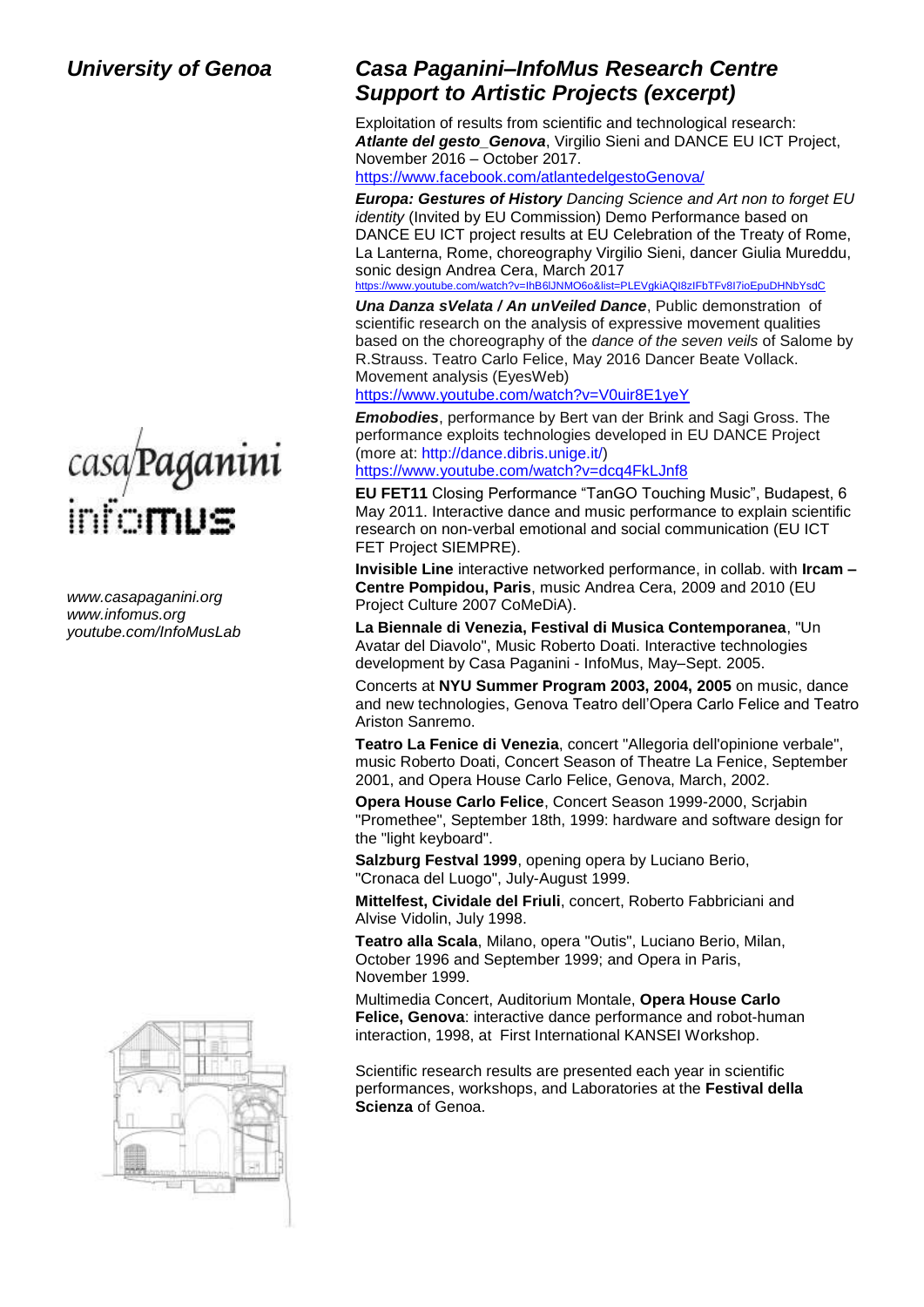

*www.casapaganini.org www.infomus.org youtube.com/InfoMusLab*



## *Casa Paganini–InfoMus Research Centre Support to Artistic Projects (excerpt)*

Exploitation of results from scientific and technological research: *Atlante del gesto\_Genova*, Virgilio Sieni and DANCE EU ICT Project, November 2016 – October 2017.

<https://www.facebook.com/atlantedelgestoGenova/>

*Europa: Gestures of History Dancing Science and Art non to forget EU identity* (Invited by EU Commission) Demo Performance based on DANCE EU ICT project results at EU Celebration of the Treaty of Rome, La Lanterna, Rome, choreography Virgilio Sieni, dancer Giulia Mureddu, sonic design Andrea Cera, March 2017

https://www.youtube.com/watch?v=IhB6lJNMO6o&list=PLEVakiAQI8zIFbTFv8I7ioEpuDHNhYsdC

*Una Danza sVelata / An unVeiled Dance*, Public demonstration of scientific research on the analysis of expressive movement qualities based on the choreography of the *dance of the seven veils* of Salome by R.Strauss. Teatro Carlo Felice, May 2016 Dancer Beate Vollack. Movement analysis (EyesWeb)

https://www.youtube.com/watch?v=V0uir8E1yeY

FET Project SIEMPRE).

*Emobodies*, performance by Bert van der Brink and Sagi Gross. The performance exploits technologies developed in EU DANCE Project (more at: [http://dance.dibris.unige.it/\)](https://www.youtube.com/redirect?v=dcq4FkLJnf8&event=video_description&q=http%3A%2F%2Fdance.dibris.unige.it%2F&redir_token=F4Lh7P6XjmYo_r1zeFkBjM_Fp7h8MTUyNjcxNDQyMEAxNTI2NjI4MDIw) <https://www.youtube.com/watch?v=dcq4FkLJnf8>

**EU FET11** Closing Performance "TanGO Touching Music", Budapest, 6 May 2011. Interactive dance and music performance to explain scientific research on non-verbal emotional and social communication (EU ICT

**Invisible Line** interactive networked performance, in collab. with **Ircam – Centre Pompidou, Paris**, music Andrea Cera, 2009 and 2010 (EU Project Culture 2007 CoMeDiA).

**La Biennale di Venezia, Festival di Musica Contemporanea**, "Un Avatar del Diavolo", Music Roberto Doati. Interactive technologies development by Casa Paganini - InfoMus, May–Sept. 2005.

Concerts at **NYU Summer Program 2003, 2004, 2005** on music, dance and new technologies, Genova Teatro dell'Opera Carlo Felice and Teatro Ariston Sanremo.

**Teatro La Fenice di Venezia**, concert "Allegoria dell'opinione verbale", music Roberto Doati, Concert Season of Theatre La Fenice, September 2001, and Opera House Carlo Felice, Genova, March, 2002.

**Opera House Carlo Felice**, Concert Season 1999-2000, Scrjabin "Promethee", September 18th, 1999: hardware and software design for the "light keyboard".

**Salzburg Festval 1999**, opening opera by Luciano Berio, "Cronaca del Luogo", July-August 1999.

**Mittelfest, Cividale del Friuli**, concert, Roberto Fabbriciani and Alvise Vidolin, July 1998.

**Teatro alla Scala**, Milano, opera "Outis", Luciano Berio, Milan, October 1996 and September 1999; and Opera in Paris, November 1999.

Multimedia Concert, Auditorium Montale, **Opera House Carlo Felice, Genova**: interactive dance performance and robot-human interaction, 1998, at First International KANSEI Workshop.

Scientific research results are presented each year in scientific performances, workshops, and Laboratories at the **Festival della Scienza** of Genoa.